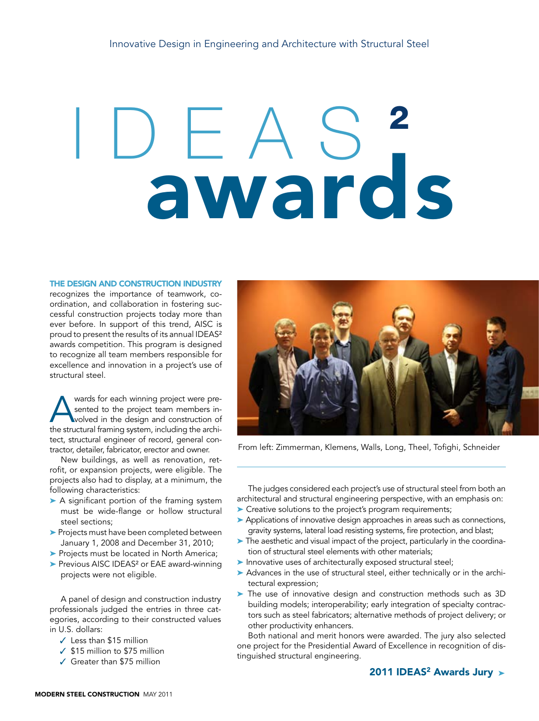## awards

## The design and construction industry

recognizes the importance of teamwork, coordination, and collaboration in fostering successful construction projects today more than ever before. In support of this trend, AISC is proud to present the results of its annual IDEAS² awards competition. This program is designed to recognize all team members responsible for excellence and innovation in a project's use of structural steel.

wards for each winning project were pre-<br>sented to the project team members in-<br>wolved in the design and construction of<br>the structural framing system including the archisented to the project team members involved in the design and construction of the structural framing system, including the architect, structural engineer of record, general contractor, detailer, fabricator, erector and owner.

New buildings, as well as renovation, retrofit, or expansion projects, were eligible. The projects also had to display, at a minimum, the following characteristics:

- ▶ A significant portion of the framing system must be wide-flange or hollow structural steel sections;
- ➤ Projects must have been completed between January 1, 2008 and December 31, 2010;
- ▶ Projects must be located in North America;
- ▶ Previous AISC IDEAS<sup>2</sup> or EAE award-winning projects were not eligible.

A panel of design and construction industry professionals judged the entries in three categories, according to their constructed values in U.S. dollars:

- ✓ Less than \$15 million
- ✓ \$15 million to \$75 million
- ✓ Greater than \$75 million



From left: Zimmerman, Klemens, Walls, Long, Theel, Tofighi, Schneider

The judges considered each project's use of structural steel from both an architectural and structural engineering perspective, with an emphasis on:

- ➤ Creative solutions to the project's program requirements;
- ➤ Applications of innovative design approaches in areas such as connections, gravity systems, lateral load resisting systems, fire protection, and blast;
- ➤ The aesthetic and visual impact of the project, particularly in the coordination of structural steel elements with other materials;
- ➤ Innovative uses of architecturally exposed structural steel;
- ▶ Advances in the use of structural steel, either technically or in the architectural expression;
- ➤ The use of innovative design and construction methods such as 3D building models; interoperability; early integration of specialty contractors such as steel fabricators; alternative methods of project delivery; or other productivity enhancers.

Both national and merit honors were awarded. The jury also selected one project for the Presidential Award of Excellence in recognition of distinguished structural engineering.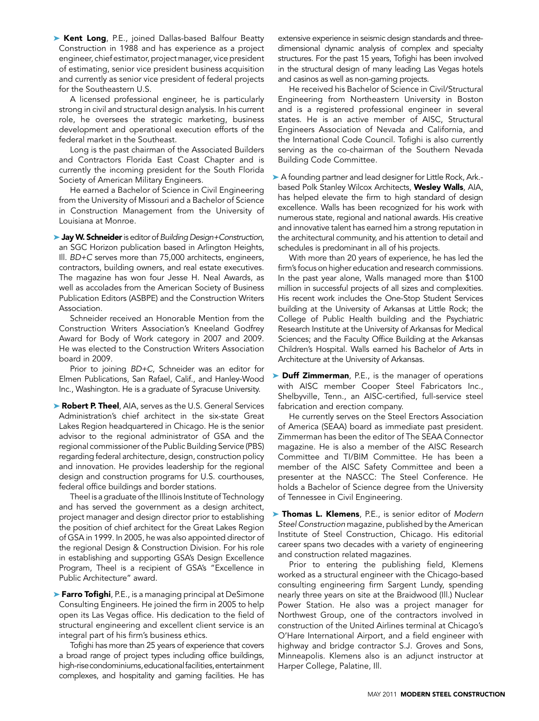▶ Kent Long, P.E., joined Dallas-based Balfour Beatty Construction in 1988 and has experience as a project engineer, chief estimator, project manager, vice president of estimating, senior vice president business acquisition and currently as senior vice president of federal projects for the Southeastern U.S.

A licensed professional engineer, he is particularly strong in civil and structural design analysis. In his current role, he oversees the strategic marketing, business development and operational execution efforts of the federal market in the Southeast.

Long is the past chairman of the Associated Builders and Contractors Florida East Coast Chapter and is currently the incoming president for the South Florida Society of American Military Engineers.

He earned a Bachelor of Science in Civil Engineering from the University of Missouri and a Bachelor of Science in Construction Management from the University of Louisiana at Monroe.

➤ Jay W. Schneider is editor of *Building Design+Construction*, an SGC Horizon publication based in Arlington Heights, Ill. *BD+C* serves more than 75,000 architects, engineers, contractors, building owners, and real estate executives. The magazine has won four Jesse H. Neal Awards, as well as accolades from the American Society of Business Publication Editors (ASBPE) and the Construction Writers Association.

Schneider received an Honorable Mention from the Construction Writers Association's Kneeland Godfrey Award for Body of Work category in 2007 and 2009. He was elected to the Construction Writers Association board in 2009.

Prior to joining *BD+C*, Schneider was an editor for Elmen Publications, San Rafael, Calif., and Hanley-Wood Inc., Washington. He is a graduate of Syracuse University.

▶ Robert P. Theel, AIA, serves as the U.S. General Services Administration's chief architect in the six-state Great Lakes Region headquartered in Chicago. He is the senior advisor to the regional administrator of GSA and the regional commissioner of the Public Building Service (PBS) regarding federal architecture, design, construction policy and innovation. He provides leadership for the regional design and construction programs for U.S. courthouses, federal office buildings and border stations.

Theel is a graduate of the Illinois Institute of Technology and has served the government as a design architect, project manager and design director prior to establishing the position of chief architect for the Great Lakes Region of GSA in 1999. In 2005, he was also appointed director of the regional Design & Construction Division. For his role in establishing and supporting GSA's Design Excellence Program, Theel is a recipient of GSA's "Excellence in Public Architecture" award.

► Farro Tofighi, P.E., is a managing principal at DeSimone Consulting Engineers. He joined the firm in 2005 to help open its Las Vegas office. His dedication to the field of structural engineering and excellent client service is an integral part of his firm's business ethics.

Tofighi has more than 25 years of experience that covers a broad range of project types including office buildings, high-rise condominiums, educational facilities, entertainment complexes, and hospitality and gaming facilities. He has extensive experience in seismic design standards and threedimensional dynamic analysis of complex and specialty structures. For the past 15 years, Tofighi has been involved in the structural design of many leading Las Vegas hotels and casinos as well as non-gaming projects.

He received his Bachelor of Science in Civil/Structural Engineering from Northeastern University in Boston and is a registered professional engineer in several states. He is an active member of AISC, Structural Engineers Association of Nevada and California, and the International Code Council. Tofighi is also currently serving as the co-chairman of the Southern Nevada Building Code Committee.

► A founding partner and lead designer for Little Rock, Ark.based Polk Stanley Wilcox Architects, Wesley Walls, AIA, has helped elevate the firm to high standard of design excellence. Walls has been recognized for his work with numerous state, regional and national awards. His creative and innovative talent has earned him a strong reputation in the architectural community, and his attention to detail and schedules is predominant in all of his projects.

With more than 20 years of experience, he has led the firm's focus on higher education and research commissions. In the past year alone, Walls managed more than \$100 million in successful projects of all sizes and complexities. His recent work includes the One-Stop Student Services building at the University of Arkansas at Little Rock; the College of Public Health building and the Psychiatric Research Institute at the University of Arkansas for Medical Sciences; and the Faculty Office Building at the Arkansas Children's Hospital. Walls earned his Bachelor of Arts in Architecture at the University of Arkansas.

▶ Duff Zimmerman, P.E., is the manager of operations with AISC member Cooper Steel Fabricators Inc., Shelbyville, Tenn., an AISC-certified, full-service steel fabrication and erection company.

He currently serves on the Steel Erectors Association of America (SEAA) board as immediate past president. Zimmerman has been the editor of The SEAA Connector magazine. He is also a member of the AISC Research Committee and TI/BIM Committee. He has been a member of the AISC Safety Committee and been a presenter at the NASCC: The Steel Conference. He holds a Bachelor of Science degree from the University of Tennessee in Civil Engineering.

➤ Thomas L. Klemens, P.E., is senior editor of *Modern Steel Construction* magazine, published by the American Institute of Steel Construction, Chicago. His editorial career spans two decades with a variety of engineering and construction related magazines.

Prior to entering the publishing field, Klemens worked as a structural engineer with the Chicago-based consulting engineering firm Sargent Lundy, spending nearly three years on site at the Braidwood (Ill.) Nuclear Power Station. He also was a project manager for Northwest Group, one of the contractors involved in construction of the United Airlines terminal at Chicago's O'Hare International Airport, and a field engineer with highway and bridge contractor S.J. Groves and Sons, Minneapolis. Klemens also is an adjunct instructor at Harper College, Palatine, Ill.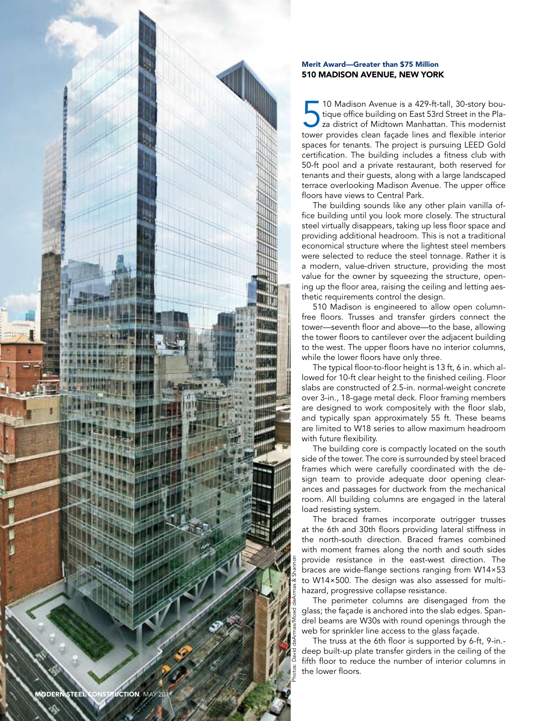

## Merit Award— Greater than \$75 Million 510 MADISON AVENUE, NEW Y

10 Madison Avenue is a 429-ft-tall, 30-story bou-<br>tique office building on East 53rd Street in the Pla-<br>za district of Midtown Manhattan. This modernist<br>tower provides clean façade lines and flexible interior Madison Avenue is a 429-ft-tall, 30-story bou tique office building on East 53rd Street in the Pla za district of Midtown Manhattan. This modernist spaces for tenants. The project is pursuing LEED Gold certification. The building includes a fitness club with 50-ft pool and a private restaurant, both reserved for tenants and their guests, along with a large landscaped terrace overlooking Madison Avenue. The upper office floors have views to Central Park.

The building sounds like any other plain vanilla of fice building until you look more closely. The structural steel virtually disappears, taking up less floor space and providing additional headroom. This is not a traditional economical structure where the lightest steel members were selected to reduce the steel tonnage. Rather it is a modern, value-driven structure, providing the most value for the owner by squeezing the structure, open ing up the floor area, raising the ceiling and letting aes thetic requirements control the design.

510 Madison is engineered to allow open columnfree floors. Trusses and transfer girders connect the tower—seventh floor and above—to the base, allowing the tower floors to cantilever over the adjacent building to the west. The upper floors have no interior columns, while the lower floors have only three.

The typical floor-to-floor height is 13 ft, 6 in. which al lowed for 10-ft clear height to the finished ceiling. Floor slabs are constructed of 2.5-in. normal-weight concrete over 3-in., 18-gage metal deck. Floor framing members are designed to work compositely with the floor slab, and typically span approximately 55 ft. These beams are limited to W18 series to allow maximum headroom with future flexibility.

The building core is compactly located on the south side of the tower. The core is surrounded by steel braced frames which were carefully coordinated with the de sign team to provide adequate door opening clearances and passages for ductwork from the mechanical room. All building columns are engaged in the lateral load resisting system.

The braced frames incorporate outrigger trusses at the 6th and 30th floors providing lateral stiffness in the north-south direction. Braced frames combined with moment frames along the north and south sides provide resistance in the east-west direction. The braces are wide-flange sections ranging from W14×53 to W14×500. The design was also assessed for multihazard, progressive collapse resistance.

The perimeter columns are disengaged from the glass; the façade is anchored into the slab edges. Span drel beams are W30s with round openings through the web for sprinkler line access to the glass façade.

The truss at the 6th floor is supported by 6-ft, 9-in. deep built-up plate transfer girders in the ceiling of the fifth floor to reduce the number of interior columns in the lower floors.